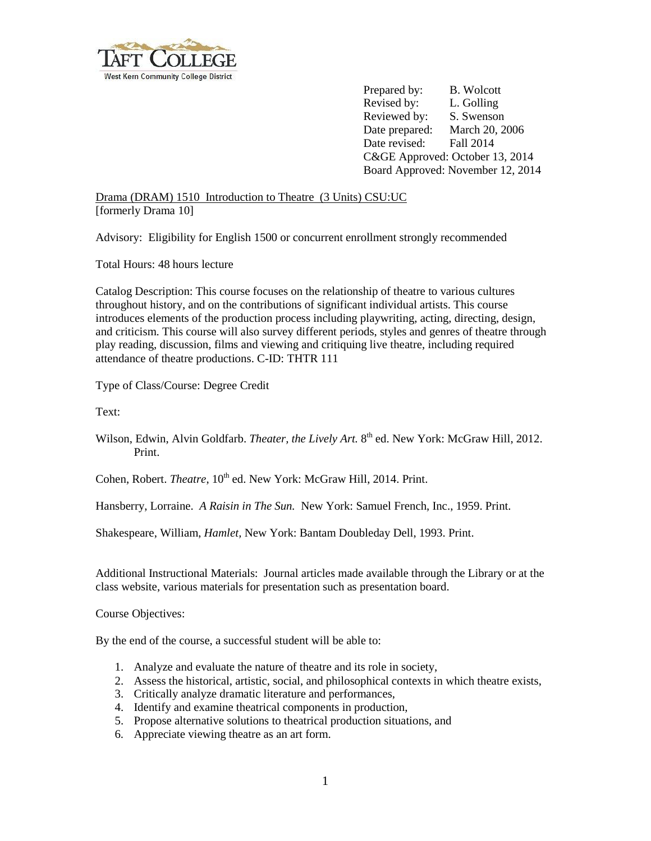

Prepared by: B. Wolcott Revised by: L. Golling Reviewed by: S. Swenson Date prepared: March 20, 2006 Date revised: Fall 2014 C&GE Approved: October 13, 2014 Board Approved: November 12, 2014

Drama (DRAM) 1510 Introduction to Theatre (3 Units) CSU:UC [formerly Drama 10]

Advisory: Eligibility for English 1500 or concurrent enrollment strongly recommended

Total Hours: 48 hours lecture

Catalog Description: This course focuses on the relationship of theatre to various cultures throughout history, and on the contributions of significant individual artists. This course introduces elements of the production process including playwriting, acting, directing, design, and criticism. This course will also survey different periods, styles and genres of theatre through play reading, discussion, films and viewing and critiquing live theatre, including required attendance of theatre productions. C-ID: THTR 111

Type of Class/Course: Degree Credit

Text:

Wilson, Edwin, Alvin Goldfarb. *Theater, the Lively Art.* 8<sup>th</sup> ed. New York: McGraw Hill, 2012. Print.

Cohen, Robert. *Theatre*, 10<sup>th</sup> ed. New York: McGraw Hill, 2014. Print.

Hansberry, Lorraine. *A Raisin in The Sun.* New York: Samuel French, Inc., 1959. Print.

Shakespeare, William, *Hamlet,* New York: Bantam Doubleday Dell, 1993. Print.

Additional Instructional Materials: Journal articles made available through the Library or at the class website, various materials for presentation such as presentation board.

Course Objectives:

By the end of the course, a successful student will be able to:

- 1. Analyze and evaluate the nature of theatre and its role in society,
- 2. Assess the historical, artistic, social, and philosophical contexts in which theatre exists,
- 3. Critically analyze dramatic literature and performances,
- 4. Identify and examine theatrical components in production,
- 5. Propose alternative solutions to theatrical production situations, and
- 6. Appreciate viewing theatre as an art form.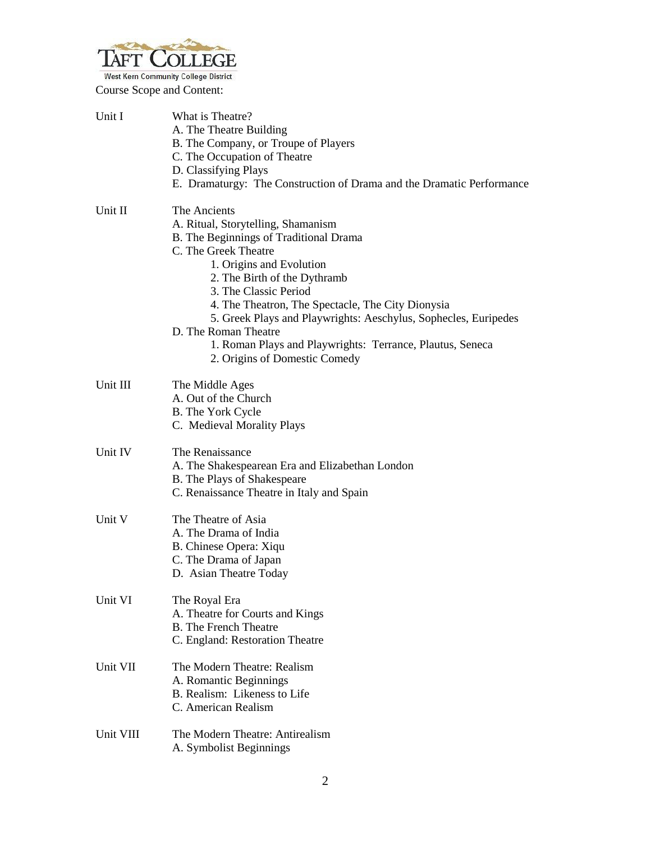

Course Scope and Content:

| Unit I    | What is Theatre?<br>A. The Theatre Building<br>B. The Company, or Troupe of Players<br>C. The Occupation of Theatre<br>D. Classifying Plays<br>E. Dramaturgy: The Construction of Drama and the Dramatic Performance                                                                                                                                                                                                                                    |
|-----------|---------------------------------------------------------------------------------------------------------------------------------------------------------------------------------------------------------------------------------------------------------------------------------------------------------------------------------------------------------------------------------------------------------------------------------------------------------|
| Unit II   | The Ancients<br>A. Ritual, Storytelling, Shamanism<br>B. The Beginnings of Traditional Drama<br>C. The Greek Theatre<br>1. Origins and Evolution<br>2. The Birth of the Dythramb<br>3. The Classic Period<br>4. The Theatron, The Spectacle, The City Dionysia<br>5. Greek Plays and Playwrights: Aeschylus, Sophecles, Euripedes<br>D. The Roman Theatre<br>1. Roman Plays and Playwrights: Terrance, Plautus, Seneca<br>2. Origins of Domestic Comedy |
| Unit III  | The Middle Ages<br>A. Out of the Church<br><b>B.</b> The York Cycle<br>C. Medieval Morality Plays                                                                                                                                                                                                                                                                                                                                                       |
| Unit IV   | The Renaissance<br>A. The Shakespearean Era and Elizabethan London<br>B. The Plays of Shakespeare<br>C. Renaissance Theatre in Italy and Spain                                                                                                                                                                                                                                                                                                          |
| Unit V    | The Theatre of Asia<br>A. The Drama of India<br>B. Chinese Opera: Xiqu<br>C. The Drama of Japan<br>D. Asian Theatre Today                                                                                                                                                                                                                                                                                                                               |
| Unit VI   | The Royal Era<br>A. Theatre for Courts and Kings<br><b>B.</b> The French Theatre<br>C. England: Restoration Theatre                                                                                                                                                                                                                                                                                                                                     |
| Unit VII  | The Modern Theatre: Realism<br>A. Romantic Beginnings<br>B. Realism: Likeness to Life<br>C. American Realism                                                                                                                                                                                                                                                                                                                                            |
| Unit VIII | The Modern Theatre: Antirealism<br>A. Symbolist Beginnings                                                                                                                                                                                                                                                                                                                                                                                              |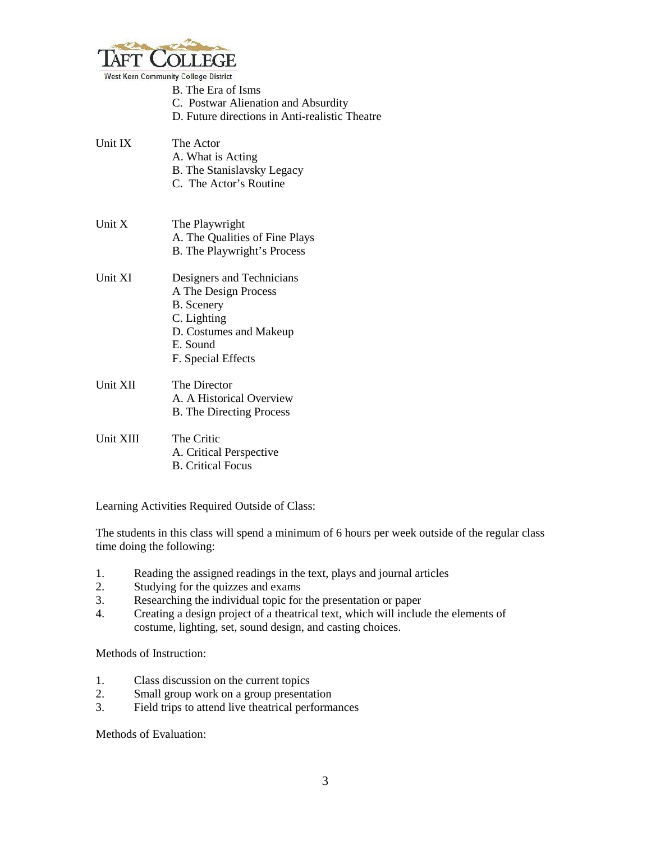

|           | B. The Era of Isms<br>C. Postwar Alienation and Absurdity<br>D. Future directions in Anti-realistic Theatre                                       |
|-----------|---------------------------------------------------------------------------------------------------------------------------------------------------|
| Unit IX   | The Actor<br>A. What is Acting<br><b>B.</b> The Stanislavsky Legacy<br>C. The Actor's Routine                                                     |
| Unit X    | The Playwright<br>A. The Qualities of Fine Plays<br>B. The Playwright's Process                                                                   |
| Unit XI   | Designers and Technicians<br>A The Design Process<br><b>B.</b> Scenery<br>C. Lighting<br>D. Costumes and Makeup<br>E. Sound<br>F. Special Effects |
| Unit XII  | The Director<br>A. A Historical Overview<br><b>B.</b> The Directing Process                                                                       |
| Unit XIII | The Critic<br>A. Critical Perspective<br><b>B.</b> Critical Focus                                                                                 |

Learning Activities Required Outside of Class:

The students in this class will spend a minimum of 6 hours per week outside of the regular class time doing the following:

- 1. Reading the assigned readings in the text, plays and journal articles
- 2. Studying for the quizzes and exams<br>3. Researching the individual topic for
- Researching the individual topic for the presentation or paper
- 4. Creating a design project of a theatrical text, which will include the elements of costume, lighting, set, sound design, and casting choices.

Methods of Instruction:

- 1. Class discussion on the current topics
- 2. Small group work on a group presentation
- 3. Field trips to attend live theatrical performances

Methods of Evaluation: